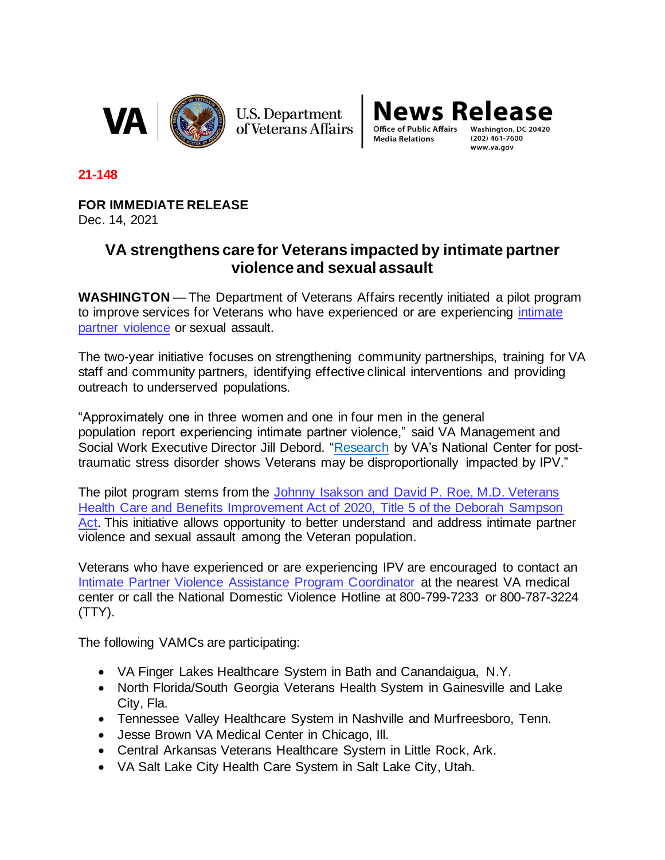

**U.S. Department** of Veterans Affairs

**News Release Office of Public Affairs** 

**Media Relations** 

 $(202)$  461-7600 www.va.gov

**21-148**

**FOR IMMEDIATE RELEASE**

Dec. 14, 2021

## **VA strengthens care for Veterans impacted by intimate partner violence and sexual assault**

**WASHINGTON** — The Department of Veterans Affairs recently initiated a pilot program to improve services for Veterans who have experienced or are experiencing [intimate](https://www.socialwork.va.gov/IPV/About.asp)  [partner violence](https://www.socialwork.va.gov/IPV/About.asp) or sexual assault.

The two-year initiative focuses on strengthening community partnerships, training for VA staff and community partners, identifying effective clinical interventions and providing outreach to underserved populations.

"Approximately one in three women and one in four men in the general population report experiencing intimate partner violence," said VA Management and Social Work Executive Director Jill Debord. ["Research](https://gcc02.safelinks.protection.outlook.com/?url=https%3A%2F%2Fwww.socialwork.va.gov%2FIPV%2FVETERANS_PARTNERS%2FWhatIPV%2FPrevalence.asp&data=04%7C01%7C%7C87e24a7059ae4ef8a8f308d9bf2be93a%7Ce95f1b23abaf45ee821db7ab251ab3bf%7C0%7C0%7C637751017576117465%7CUnknown%7CTWFpbGZsb3d8eyJWIjoiMC4wLjAwMDAiLCJQIjoiV2luMzIiLCJBTiI6Ik1haWwiLCJXVCI6Mn0%3D%7C3000&sdata=BEqqe26xa1IlQiFmlcMP%2FvrRZ%2ByKKfwwIlMusDJQssc%3D&reserved=0) by VA's National Center for posttraumatic stress disorder shows Veterans may be disproportionally impacted by IPV."

The pilot program stems from the [Johnny Isakson and David P. Roe, M.D. Veterans](https://www.congress.gov/116/plaws/publ315/PLAW-116publ315.pdf)  [Health Care and Benefits Improvement Act of 2020, Title 5 of the Deborah Sampson](https://www.congress.gov/116/plaws/publ315/PLAW-116publ315.pdf)  Act. This initiative allows opportunity to better understand and address intimate partner [violence and sexual assault among the Veteran population.](https://www.congress.gov/116/plaws/publ315/PLAW-116publ315.pdf)

Veterans who have experienced or are experiencing IPV are encouraged to contact an [Intimate Partner Violence Assistance Program Coordinator](https://www.socialwork.va.gov/IPV/Coordinators.asp) at the nearest VA medical center or call the National Domestic Violence Hotline at 800-799-7233 or 800-787-3224 (TTY).

The following VAMCs are participating:

- [VA Finger Lakes Healthcare System](https://www.va.gov/finger-lakes-health-care/) in Bath and Canandaigua, N.Y.
- [North Florida/South Georgia Veterans Health System](https://www.va.gov/north-florida-health-care/) in Gainesville and Lake City, Fla.
- [Tennessee Valley Healthcare System](https://www.va.gov/tennessee-valley-health-care/) in Nashville and Murfreesboro, Tenn.
- [Jesse Brown VA Medical Center](https://www.va.gov/chicago-health-care/locations/jesse-brown-department-of-veterans-affairs-medical-center/) in Chicago, Ill.
- [Central Arkansas Veterans Healthcare System](https://www.va.gov/central-arkansas-health-care/) in Little Rock, Ark.
- [VA Salt Lake City Health Care System](https://www.va.gov/salt-lake-city-health-care/) in Salt Lake City, Utah.